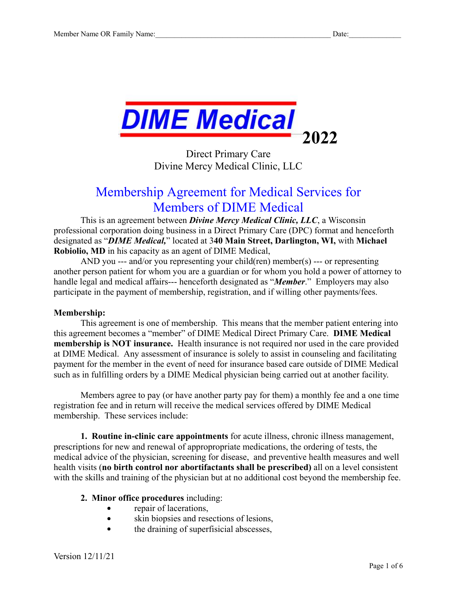

Direct Primary Care Divine Mercy Medical Clinic, LLC

# Membership Agreement for Medical Services for Members of DIME Medical

This is an agreement between *Divine Mercy Medical Clinic, LLC*, a Wisconsin professional corporation doing business in a Direct Primary Care (DPC) format and henceforth designated as "*DIME Medical,*" located at 3**40 Main Street, Darlington, WI,** with **Michael Robiolio, MD** in his capacity as an agent of DIME Medical,

AND you --- and/or you representing your child(ren) member(s) --- or representing another person patient for whom you are a guardian or for whom you hold a power of attorney to handle legal and medical affairs--- henceforth designated as "*Member*." Employers may also participate in the payment of membership, registration, and if willing other payments/fees.

### **Membership:**

This agreement is one of membership. This means that the member patient entering into this agreement becomes a "member" of DIME Medical Direct Primary Care. **DIME Medical membership is NOT insurance.** Health insurance is not required nor used in the care provided at DIME Medical. Any assessment of insurance is solely to assist in counseling and facilitating payment for the member in the event of need for insurance based care outside of DIME Medical such as in fulfilling orders by a DIME Medical physician being carried out at another facility.

Members agree to pay (or have another party pay for them) a monthly fee and a one time registration fee and in return will receive the medical services offered by DIME Medical membership. These services include:

**1. Routine in-clinic care appointments** for acute illness, chronic illness management, prescriptions for new and renewal of appropropriate medications, the ordering of tests, the medical advice of the physician, screening for disease, and preventive health measures and well health visits (**no birth control nor abortifactants shall be prescribed)** all on a level consistent with the skills and training of the physician but at no additional cost beyond the membership fee.

### **2. Minor office procedures** including:

- repair of lacerations,
- $\bullet$ skin biopsies and resections of lesions,
- the draining of superfisicial abscesses,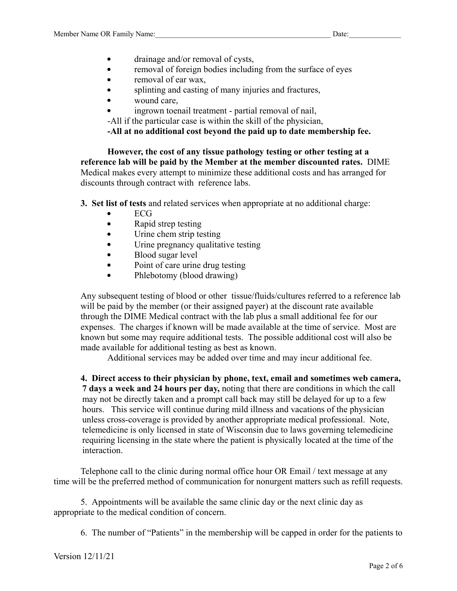- drainage and/or removal of cysts,  $\bullet$
- $\bullet$ removal of foreign bodies including from the surface of eyes
- $\bullet$ removal of ear wax,
- splinting and casting of many injuries and fractures,
- wound care,  $\bullet$
- ingrown toenail treatment partial removal of nail,
- -All if the particular case is within the skill of the physician,

**-All at no additional cost beyond the paid up to date membership fee.**

**However, the cost of any tissue pathology testing or other testing at a reference lab will be paid by the Member at the member discounted rates.** DIME Medical makes every attempt to minimize these additional costs and has arranged for discounts through contract with reference labs.

**3. Set list of tests** and related services when appropriate at no additional charge:

- ECG
- Rapid strep testing  $\bullet$
- Urine chem strip testing  $\bullet$
- Urine pregnancy qualitative testing
- Blood sugar level  $\bullet$
- Point of care urine drug testing  $\bullet$
- Phlebotomy (blood drawing)

Any subsequent testing of blood or other tissue/fluids/cultures referred to a reference lab will be paid by the member (or their assigned payer) at the discount rate available through the DIME Medical contract with the lab plus a small additional fee for our expenses. The charges if known will be made available at the time of service. Most are known but some may require additional tests. The possible additional cost will also be made available for additional testing as best as known.

Additional services may be added over time and may incur additional fee.

**4. Direct access to their physician by phone, text, email and sometimes web camera, 7 days a week and 24 hours per day,** noting that there are conditions in which the call may not be directly taken and a prompt call back may still be delayed for up to a few hours. This service will continue during mild illness and vacations of the physician unless cross-coverage is provided by another appropriate medical professional. Note, telemedicine is only licensed in state of Wisconsin due to laws governing telemedicine requiring licensing in the state where the patient is physically located at the time of the interaction.

Telephone call to the clinic during normal office hour OR Email / text message at any time will be the preferred method of communication for nonurgent matters such as refill requests.

5. Appointments will be available the same clinic day or the next clinic day as appropriate to the medical condition of concern.

6. The number of "Patients" in the membership will be capped in order for the patients to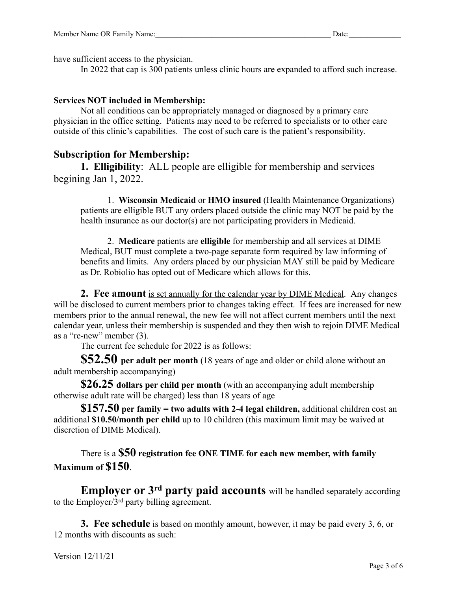have sufficient access to the physician.

In 2022 that cap is 300 patients unless clinic hours are expanded to afford such increase.

### **Services NOT included in Membership:**

Not all conditions can be appropriately managed or diagnosed by a primary care physician in the office setting. Patients may need to be referred to specialists or to other care outside of this clinic's capabilities. The cost of such care is the patient's responsibility.

## **Subscription for Membership:**

**1. Elligibility**: ALL people are elligible for membership and services begining Jan 1, 2022.

1. **Wisconsin Medicaid** or **HMO insured** (Health Maintenance Organizations) patients are elligible BUT any orders placed outside the clinic may NOT be paid by the health insurance as our doctor(s) are not participating providers in Medicaid.

2. **Medicare** patients are **elligible** for membership and all services at DIME Medical, BUT must complete a two-page separate form required by law informing of benefits and limits. Any orders placed by our physician MAY still be paid by Medicare as Dr. Robiolio has opted out of Medicare which allows for this.

**2. Fee amount** is set annually for the calendar year by DIME Medical. Any changes will be disclosed to current members prior to changes taking effect. If fees are increased for new members prior to the annual renewal, the new fee will not affect current members until the next calendar year, unless their membership is suspended and they then wish to rejoin DIME Medical as a "re-new" member (3).

The current fee schedule for 2022 is as follows:

**\$52.50 per adult per month** (18 years of age and older or child alone without an adult membership accompanying)

**\$26.25 dollars per child per month** (with an accompanying adult membership otherwise adult rate will be charged) less than 18 years of age

**\$157.50 per family = two adults with 2-4 legal children,** additional children cost an additional **\$10.50/month per child** up to 10 children (this maximum limit may be waived at discretion of DIME Medical).

There is a **\$50 registration fee ONE TIME for each new member, with family Maximum of \$150**.

**Employer or 3 rd party paid accounts** will be handled separately according to the Employer/3<sup>rd</sup> party billing agreement.

**3. Fee schedule** is based on monthly amount, however, it may be paid every 3, 6, or 12 months with discounts as such:

Version 12/11/21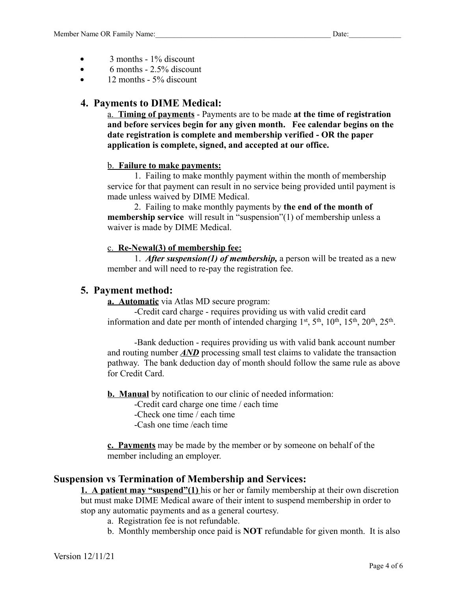- 3 months 1% discount  $\bullet$
- 6 months 2.5% discount  $\bullet$
- 12 months 5% discount

## **4. Payments to DIME Medical:**

a. **Timing of payments** - Payments are to be made **at the time of registration and before services begin for any given month. Fee calendar begins on the date registration is complete and membership verified - OR the paper application is complete, signed, and accepted at our office.**

### b. **Failure to make payments:**

1. Failing to make monthly payment within the month of membership service for that payment can result in no service being provided until payment is made unless waived by DIME Medical.

2. Failing to make monthly payments by **the end of the month of membership service** will result in "suspension"(1) of membership unless a waiver is made by DIME Medical.

## c. **Re-Newal(3) of membership fee:**

1. *After suspension(1) of membership,* a person will be treated as a new member and will need to re-pay the registration fee.

## **5. Payment method:**

**a. Automatic** via Atlas MD secure program:

-Credit card charge - requires providing us with valid credit card information and date per month of intended charging  $1^{st}$ ,  $5^{th}$ ,  $10^{th}$ ,  $15^{th}$ ,  $20^{th}$ ,  $25^{th}$ .

-Bank deduction - requires providing us with valid bank account number and routing number *AND* processing small test claims to validate the transaction pathway. The bank deduction day of month should follow the same rule as above for Credit Card.

**b. Manual** by notification to our clinic of needed information:

-Credit card charge one time / each time

-Check one time / each time

-Cash one time /each time

**c. Payments** may be made by the member or by someone on behalf of the member including an employer.

# **Suspension vs Termination of Membership and Services:**

**1. A patient may "suspend"(1)** his or her or family membership at their own discretion but must make DIME Medical aware of their intent to suspend membership in order to stop any automatic payments and as a general courtesy.

- a. Registration fee is not refundable.
- b. Monthly membership once paid is **NOT** refundable for given month. It is also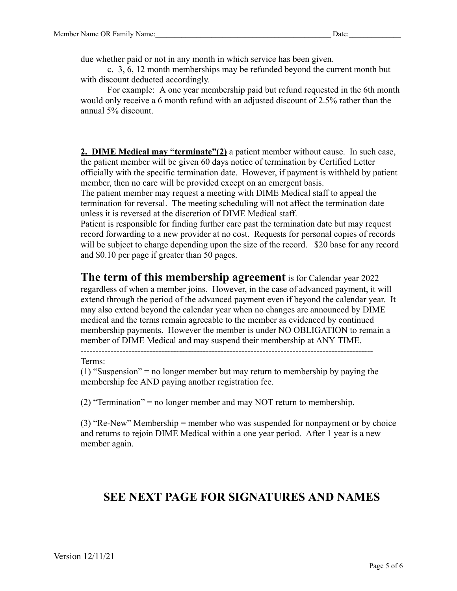due whether paid or not in any month in which service has been given.

c. 3, 6, 12 month memberships may be refunded beyond the current month but with discount deducted accordingly.

For example: A one year membership paid but refund requested in the 6th month would only receive a 6 month refund with an adjusted discount of 2.5% rather than the annual 5% discount.

**2. DIME Medical may "terminate"(2)** a patient member without cause. In such case, the patient member will be given 60 days notice of termination by Certified Letter officially with the specific termination date. However, if payment is withheld by patient member, then no care will be provided except on an emergent basis.

The patient member may request a meeting with DIME Medical staff to appeal the termination for reversal. The meeting scheduling will not affect the termination date unless it is reversed at the discretion of DIME Medical staff.

Patient is responsible for finding further care past the termination date but may request record forwarding to a new provider at no cost. Requests for personal copies of records will be subject to charge depending upon the size of the record. \$20 base for any record and \$0.10 per page if greater than 50 pages.

## **The term of this membership agreement** is for Calendar year 2022

regardless of when a member joins. However, in the case of advanced payment, it will extend through the period of the advanced payment even if beyond the calendar year. It may also extend beyond the calendar year when no changes are announced by DIME medical and the terms remain agreeable to the member as evidenced by continued membership payments. However the member is under NO OBLIGATION to remain a member of DIME Medical and may suspend their membership at ANY TIME.

--------------------------------------------------------------------------------------------------

#### Terms:

(1) "Suspension" = no longer member but may return to membership by paying the membership fee AND paying another registration fee.

(2) "Termination" = no longer member and may NOT return to membership.

(3) "Re-New" Membership = member who was suspended for nonpayment or by choice and returns to rejoin DIME Medical within a one year period. After 1 year is a new member again.

# **SEE NEXT PAGE FOR SIGNATURES AND NAMES**